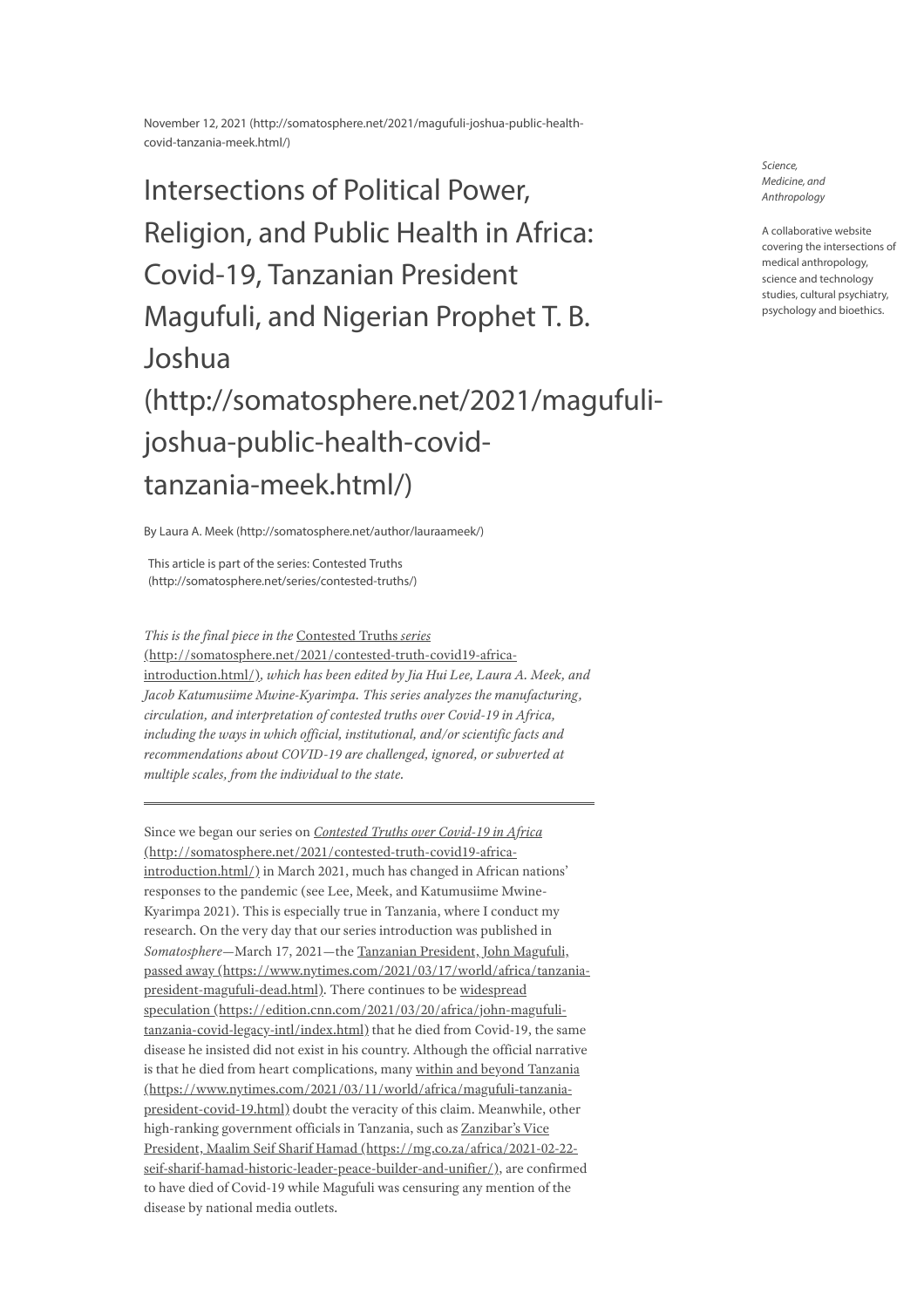November 12, 2021 [\(http://somatosphere.net/2021/magufuli-joshua-public-health](http://somatosphere.net/2021/magufuli-joshua-public-health-covid-tanzania-meek.html/)covid-tanzania-meek.html/)

Intersections of Political Power, Religion, and Public Health in Africa: Covid-19, Tanzanian President Magufuli, and Nigerian Prophet T. B. Joshua [\(http://somatosphere.net/2021/magufuli](http://somatosphere.net/2021/magufuli-joshua-public-health-covid-tanzania-meek.html/)joshua-public-health-covidtanzania-meek.html/)

By Laura A. Meek [\(http://somatosphere.net/author/lauraameek/\)](http://somatosphere.net/author/lauraameek/)

This article is part of the series: Contested Truths [\(http://somatosphere.net/series/contested-truths/\)](http://somatosphere.net/series/contested-truths/)

*This is the final piece in the* Contested Truths *series* [\(http://somatosphere.net/2021/contested-truth-covid19-africa](http://somatosphere.net/2021/contested-truth-covid19-africa-introduction.html/)introduction.html/)*, which has been edited by Jia Hui Lee, Laura A. Meek, and Jacob Katumusiime Mwine-Kyarimpa. This series analyzes the manufacturing, circulation, and interpretation of contested truths over Covid-19 in Africa, including the ways in which of icial, institutional, and/or scientific facts and recommendations about COVID-19 are challenged, ignored, or subverted at multiple scales, from the individual to the state.*

Since we began our series on *Contested Truths over Covid-19 in Africa* [\(http://somatosphere.net/2021/contested-truth-covid19-africa](http://somatosphere.net/2021/contested-truth-covid19-africa-introduction.html/)introduction.html/) in March 2021, much has changed in African nations' responses to the pandemic (see Lee, Meek, and Katumusiime Mwine-Kyarimpa 2021). This is especially true in Tanzania, where I conduct my research. On the very day that our series introduction was published in *Somatosphere*—March 17, 2021—the Tanzanian President, John Magufuli, passed away [\(https://www.nytimes.com/2021/03/17/world/africa/tanzania](https://www.nytimes.com/2021/03/17/world/africa/tanzania-president-magufuli-dead.html)president-magufuli-dead.html). There continues to be widespread speculation [\(https://edition.cnn.com/2021/03/20/africa/john-magufuli](https://edition.cnn.com/2021/03/20/africa/john-magufuli-tanzania-covid-legacy-intl/index.html)tanzania-covid-legacy-intl/index.html) that he died from Covid-19, the same disease he insisted did not exist in his country. Although the official narrative is that he died from heart complications, many within and beyond Tanzania [\(https://www.nytimes.com/2021/03/11/world/africa/magufuli-tanzania](https://www.nytimes.com/2021/03/11/world/africa/magufuli-tanzania-president-covid-19.html)president-covid-19.html) doubt the veracity of this claim. Meanwhile, other high-ranking government officials in Tanzania, such as Zanzibar's Vice President, Maalim Seif Sharif Hamad (https://mg.co.za/africa/2021-02-22 [seif-sharif-hamad-historic-leader-peace-builder-and-unifier/\),](https://mg.co.za/africa/2021-02-22-seif-sharif-hamad-historic-leader-peace-builder-and-unifier/) are confirmed to have died of Covid-19 while Magufuli was censuring any mention of the disease by national media outlets.

Science, Medicine, and Anthropology

A collaborative website covering the intersections of medical anthropology, science and technology studies, cultural psychiatry, psychology and bioethics.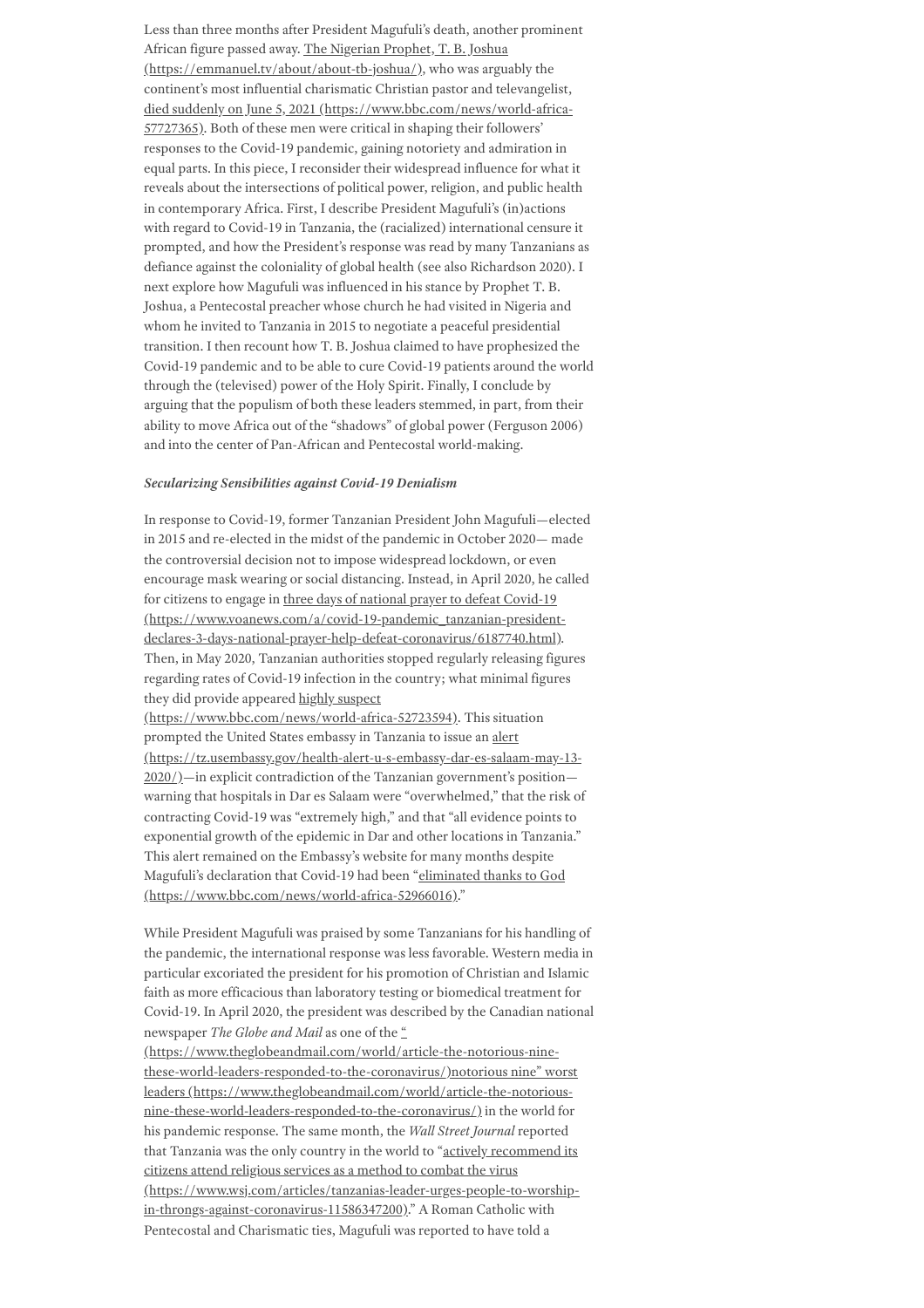Less than three months after President Magufuli's death, another prominent African figure passed away. The Nigerian Prophet, T. B. Joshua [\(https://emmanuel.tv/about/about-tb-joshua/\),](https://emmanuel.tv/about/about-tb-joshua/) who was arguably the continent's most influential charismatic Christian pastor and televangelist, died suddenly on June 5, 2021 [\(https://www.bbc.com/news/world-africa-](https://www.bbc.com/news/world-africa-57727365)57727365). Both of these men were critical in shaping their followers' responses to the Covid-19 pandemic, gaining notoriety and admiration in equal parts. In this piece, I reconsider their widespread influence for what it reveals about the intersections of political power, religion, and public health in contemporary Africa. First, I describe President Magufuli's (in)actions with regard to Covid-19 in Tanzania, the (racialized) international censure it prompted, and how the President's response was read by many Tanzanians as defiance against the coloniality of global health (see also Richardson 2020). I next explore how Magufuli was influenced in his stance by Prophet T. B. Joshua, a Pentecostal preacher whose church he had visited in Nigeria and whom he invited to Tanzania in 2015 to negotiate a peaceful presidential transition. I then recount how T. B. Joshua claimed to have prophesized the Covid-19 pandemic and to be able to cure Covid-19 patients around the world through the (televised) power of the Holy Spirit. Finally, I conclude by arguing that the populism of both these leaders stemmed, in part, from their ability to move Africa out of the "shadows" of global power (Ferguson 2006) and into the center of Pan-African and Pentecostal world-making.

### *Secularizing Sensibilities against Covid-19 Denialism*

In response to Covid-19, former Tanzanian President John Magufuli—elected in 2015 and re-elected in the midst of the pandemic in October 2020— made the controversial decision not to impose widespread lockdown, or even encourage mask wearing or social distancing. Instead, in April 2020, he called for citizens to engage in three days of national prayer to defeat Covid-19 [\(https://www.voanews.com/a/covid-19-pandemic\\_tanzanian-president](https://www.voanews.com/a/covid-19-pandemic_tanzanian-president-declares-3-days-national-prayer-help-defeat-coronavirus/6187740.html)declares-3-days-national-prayer-help-defeat-coronavirus/6187740.html). Then, in May 2020, Tanzanian authorities stopped regularly releasing figures regarding rates of Covid-19 infection in the country; what minimal figures they did provide appeared highly suspect [\(https://www.bbc.com/news/world-africa-52723594\)](https://www.bbc.com/news/world-africa-52723594). This situation prompted the United States embassy in Tanzania to issue an alert [\(https://tz.usembassy.gov/health-alert-u-s-embassy-dar-es-salaam-may-13-](https://tz.usembassy.gov/health-alert-u-s-embassy-dar-es-salaam-may-13-2020/) 2020/)—in explicit contradiction of the Tanzanian government's position—

warning that hospitals in Dar es Salaam were "overwhelmed," that the risk of contracting Covid-19 was "extremely high," and that "all evidence points to exponential growth of the epidemic in Dar and other locations in Tanzania." This alert remained on the Embassy's website for many months despite Magufuli's declaration that Covid-19 had been "eliminated thanks to God [\(https://www.bbc.com/news/world-africa-52966016\)."](https://www.bbc.com/news/world-africa-52966016)

While President Magufuli was praised by some Tanzanians for his handling of the pandemic, the international response was less favorable. Western media in particular excoriated the president for his promotion of Christian and Islamic faith as more efficacious than laboratory testing or biomedical treatment for Covid-19. In April 2020, the president was described by the Canadian national newspaper *The Globe and Mail* as one of the "

[\(https://www.theglobeandmail.com/world/article-the-notorious-nine](https://www.theglobeandmail.com/world/article-the-notorious-nine-these-world-leaders-responded-to-the-coronavirus/)these-world-leaders-responded-to-the-coronavirus/)notorious nine" worst leaders [\(https://www.theglobeandmail.com/world/article-the-notorious](https://www.theglobeandmail.com/world/article-the-notorious-nine-these-world-leaders-responded-to-the-coronavirus/)nine-these-world-leaders-responded-to-the-coronavirus/) in the world for his pandemic response. The same month, the *Wall Street Journal* reported that Tanzania was the only country in the world to "actively recommend its citizens attend religious services as a method to combat the virus [\(https://www.wsj.com/articles/tanzanias-leader-urges-people-to-worship](https://www.wsj.com/articles/tanzanias-leader-urges-people-to-worship-in-throngs-against-coronavirus-11586347200)in-throngs-against-coronavirus-11586347200)." A Roman Catholic with Pentecostal and Charismatic ties, Magufuli was reported to have told a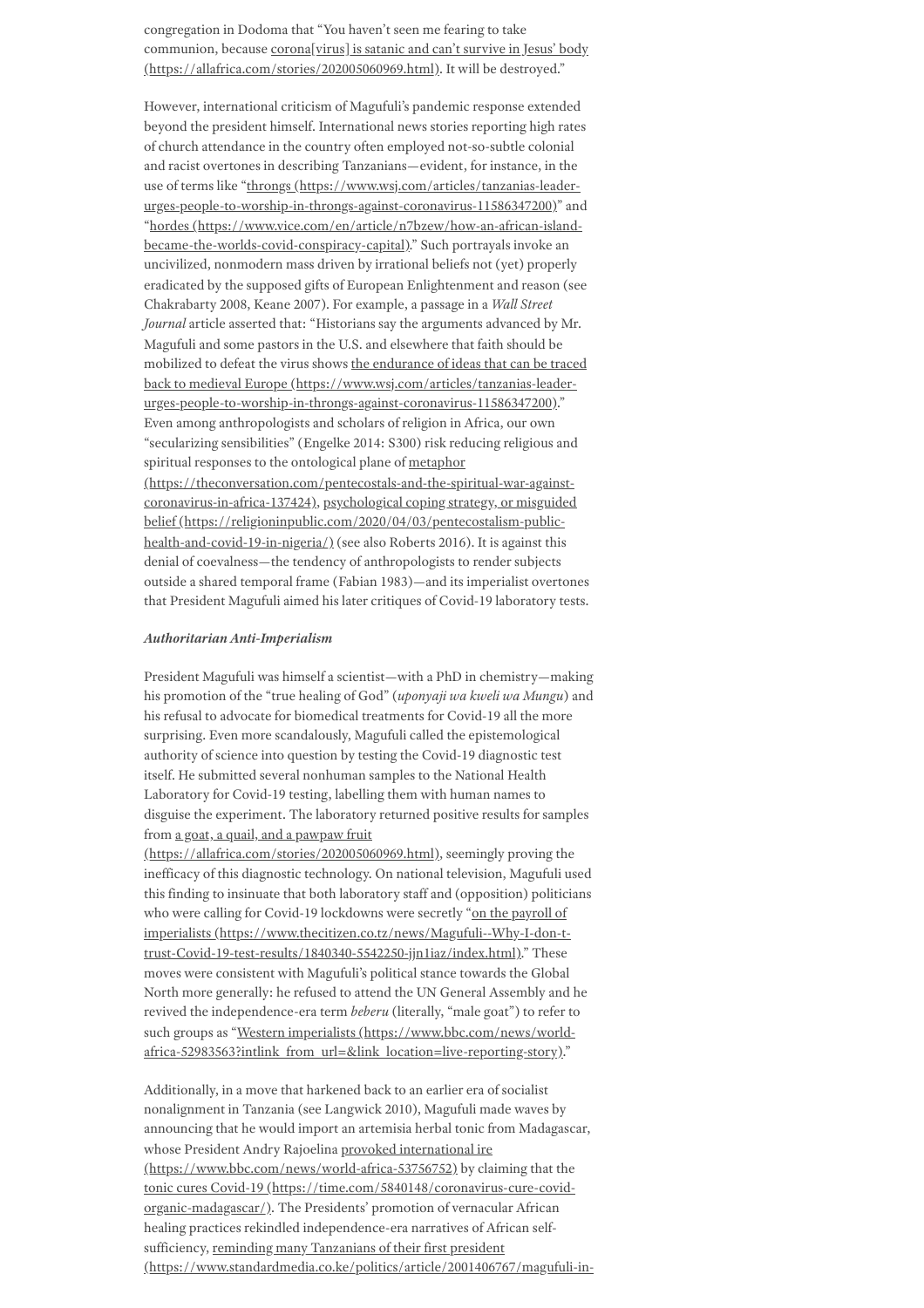congregation in Dodoma that "You haven't seen me fearing to take communion, because corona[virus] is satanic and can't survive in Jesus' body [\(https://allafrica.com/stories/202005060969.html\).](https://allafrica.com/stories/202005060969.html) It will be destroyed."

However, international criticism of Magufuli's pandemic response extended beyond the president himself. International news stories reporting high rates of church attendance in the country often employed not-so-subtle colonial and racist overtones in describing Tanzanians—evident, for instance, in the use of terms like "throngs (https://www.wsj.com/articles/tanzanias-leader[urges-people-to-worship-in-throngs-against-coronavirus-11586347200\)"](https://www.wsj.com/articles/tanzanias-leader-urges-people-to-worship-in-throngs-against-coronavirus-11586347200) and "hordes [\(https://www.vice.com/en/article/n7bzew/how-an-african-island](https://www.vice.com/en/article/n7bzew/how-an-african-island-became-the-worlds-covid-conspiracy-capital)became-the-worlds-covid-conspiracy-capital)." Such portrayals invoke an uncivilized, nonmodern mass driven by irrational beliefs not (yet) properly eradicated by the supposed gifts of European Enlightenment and reason (see Chakrabarty 2008, Keane 2007). For example, a passage in a *Wall Street Journal* article asserted that: "Historians say the arguments advanced by Mr. Magufuli and some pastors in the U.S. and elsewhere that faith should be mobilized to defeat the virus shows the endurance of ideas that can be traced back to medieval Europe (https://www.wsj.com/articles/tanzanias-leader[urges-people-to-worship-in-throngs-against-coronavirus-11586347200\)."](https://www.wsj.com/articles/tanzanias-leader-urges-people-to-worship-in-throngs-against-coronavirus-11586347200) Even among anthropologists and scholars of religion in Africa, our own "secularizing sensibilities" (Engelke 2014: S300) risk reducing religious and spiritual responses to the ontological plane of metaphor [\(https://theconversation.com/pentecostals-and-the-spiritual-war-against](https://theconversation.com/pentecostals-and-the-spiritual-war-against-coronavirus-in-africa-137424)coronavirus-in-africa-137424), psychological coping strategy, or misguided belief [\(https://religioninpublic.com/2020/04/03/pentecostalism-public](https://religioninpublic.com/2020/04/03/pentecostalism-public-health-and-covid-19-in-nigeria/)health-and-covid-19-in-nigeria/)(see also Roberts 2016). It is against this denial of coevalness—the tendency of anthropologists to render subjects outside a shared temporal frame (Fabian 1983)—and its imperialist overtones that President Magufuli aimed his later critiques of Covid-19 laboratory tests.

#### *Authoritarian Anti-Imperialism*

President Magufuli was himself a scientist—with a PhD in chemistry—making his promotion of the "true healing of God" (*uponyaji wa kweli wa Mungu*) and his refusal to advocate for biomedical treatments for Covid-19 all the more surprising. Even more scandalously, Magufuli called the epistemological authority of science into question by testing the Covid-19 diagnostic test itself. He submitted several nonhuman samples to the National Health Laboratory for Covid-19 testing, labelling them with human names to disguise the experiment. The laboratory returned positive results for samples from a goat, a quail, and a pawpaw fruit

[\(https://allafrica.com/stories/202005060969.html\),](https://allafrica.com/stories/202005060969.html) seemingly proving the inefficacy of this diagnostic technology. On national television, Magufuli used this finding to insinuate that both laboratory staff and (opposition) politicians who were calling for Covid-19 lockdowns were secretly "on the payroll of imperialists (https://www.thecitizen.co.tz/news/Magufuli--Why-I-don-t[trust-Covid-19-test-results/1840340-5542250-jjn1iaz/index.html\)."](https://www.thecitizen.co.tz/news/Magufuli--Why-I-don-t-trust-Covid-19-test-results/1840340-5542250-jjn1iaz/index.html) These moves were consistent with Magufuli's political stance towards the Global North more generally: he refused to attend the UN General Assembly and he revived the independence-era term *beberu* (literally, "male goat") to refer to such groups as "Western imperialists (https://www.bbc.com/news/worldafrica-52983563?intlink from url=&link location=live-reporting-story)."

Additionally, in a move that harkened back to an earlier era of socialist nonalignment in Tanzania (see Langwick 2010), Magufuli made waves by announcing that he would import an artemisia herbal tonic from Madagascar, whose President Andry Rajoelina provoked international ire [\(https://www.bbc.com/news/world-africa-53756752\)](https://www.bbc.com/news/world-africa-53756752) by claiming that the tonic cures Covid-19 [\(https://time.com/5840148/coronavirus-cure-covid](https://time.com/5840148/coronavirus-cure-covid-organic-madagascar/)organic-madagascar/). The Presidents' promotion of vernacular African healing practices rekindled independence-era narratives of African selfsufficiency, reminding many Tanzanians of their first president [\(https://www.standardmedia.co.ke/politics/article/2001406767/magufuli-in-](https://www.standardmedia.co.ke/politics/article/2001406767/magufuli-in-the-footsteps-of-julius-nyerere-with-nationalist-agenda)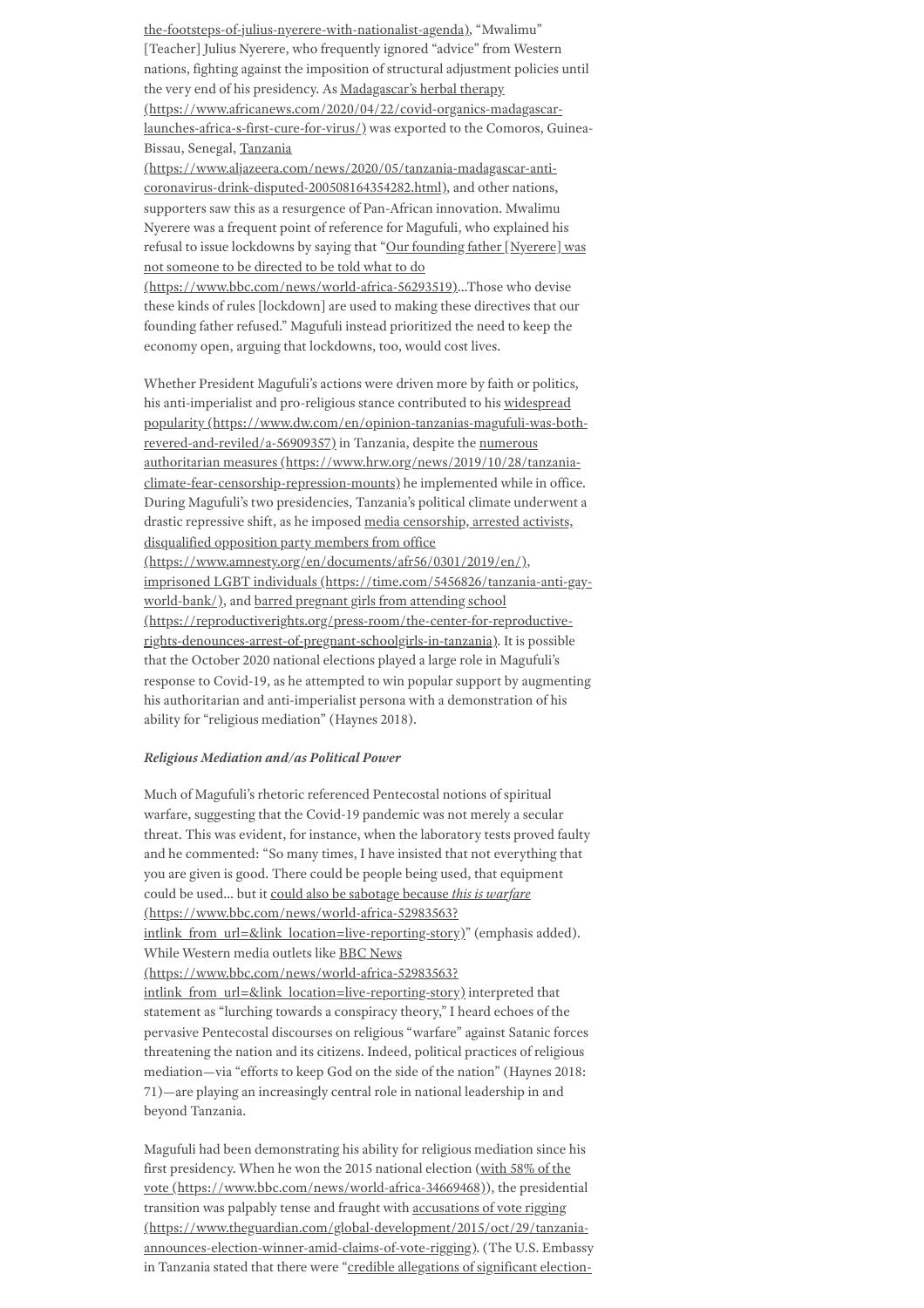[the-footsteps-of-julius-nyerere-with-nationalist-agenda\),](https://www.standardmedia.co.ke/politics/article/2001406767/magufuli-in-the-footsteps-of-julius-nyerere-with-nationalist-agenda) "Mwalimu" [Teacher] Julius Nyerere, who frequently ignored "advice" from Western nations, fighting against the imposition of structural adjustment policies until the very end of his presidency. As Madagascar's herbal therapy [\(https://www.africanews.com/2020/04/22/covid-organics-madagascar](https://www.africanews.com/2020/04/22/covid-organics-madagascar-launches-africa-s-first-cure-for-virus/)launches-africa-s-first-cure-for-virus/) was exported to the Comoros, Guinea-Bissau, Senegal, Tanzania

[\(https://www.aljazeera.com/news/2020/05/tanzania-madagascar-anti](https://www.aljazeera.com/news/2020/05/tanzania-madagascar-anti-coronavirus-drink-disputed-200508164354282.html)coronavirus-drink-disputed-200508164354282.html), and other nations, supporters saw this as a resurgence of Pan-African innovation. Mwalimu Nyerere was a frequent point of reference for Magufuli, who explained his refusal to issue lockdowns by saying that "Our founding father [Nyerere] was not someone to be directed to be told what to do

[\(https://www.bbc.com/news/world-africa-56293519\)…Those](https://www.bbc.com/news/world-africa-56293519) who devise these kinds of rules [lockdown] are used to making these directives that our founding father refused." Magufuli instead prioritized the need to keep the economy open, arguing that lockdowns, too, would cost lives.

Whether President Magufuli's actions were driven more by faith or politics, his anti-imperialist and pro-religious stance contributed to his widespread popularity [\(https://www.dw.com/en/opinion-tanzanias-magufuli-was-both](https://www.dw.com/en/opinion-tanzanias-magufuli-was-both-revered-and-reviled/a-56909357)revered-and-reviled/a-56909357) in Tanzania, despite the numerous authoritarian measures [\(https://www.hrw.org/news/2019/10/28/tanzania](https://www.hrw.org/news/2019/10/28/tanzania-climate-fear-censorship-repression-mounts)climate-fear-censorship-repression-mounts) he implemented while in office. During Magufuli's two presidencies, Tanzania's political climate underwent a drastic repressive shift, as he imposed media censorship, arrested activists, disqualified opposition party members from office [\(https://www.amnesty.org/en/documents/afr56/0301/2019/en/\),](https://www.amnesty.org/en/documents/afr56/0301/2019/en/) imprisoned LGBT individuals [\(https://time.com/5456826/tanzania-anti-gay](https://time.com/5456826/tanzania-anti-gay-world-bank/)world-bank/), and barred pregnant girls from attending school [\(https://reproductiverights.org/press-room/the-center-for-reproductive](https://reproductiverights.org/press-room/the-center-for-reproductive-rights-denounces-arrest-of-pregnant-schoolgirls-in-tanzania)rights-denounces-arrest-of-pregnant-schoolgirls-in-tanzania). It is possible that the October 2020 national elections played a large role in Magufuli's response to Covid-19, as he attempted to win popular support by augmenting his authoritarian and anti-imperialist persona with a demonstration of his ability for "religious mediation" (Haynes 2018).

# *Religious Mediation and/as Political Power*

Much of Magufuli's rhetoric referenced Pentecostal notions of spiritual warfare, suggesting that the Covid-19 pandemic was not merely a secular threat. This was evident, for instance, when the laboratory tests proved faulty and he commented: "So many times, I have insisted that not everything that you are given is good. There could be people being used, that equipment could be used… but it could also be sabotage because *this is warfare* (https://www.bbc.com/news/world-africa-52983563? [intlink\\_from\\_url=&link\\_location=live-reporting-story\)"](https://www.bbc.com/news/world-africa-52983563?intlink_from_url=&link_location=live-reporting-story) (emphasis added). While Western media outlets like BBC News (https://www.bbc.com/news/world-africa-52983563? intlink from url=&link location=live-reporting-story) interpreted that statement as "lurching towards a conspiracy theory," I heard echoes of the pervasive Pentecostal discourses on religious "warfare" against Satanic forces threatening the nation and its citizens. Indeed, political practices of religious mediation—via "efforts to keep God on the side of the nation" (Haynes 2018: 71)—are playing an increasingly central role in national leadership in and beyond Tanzania.

Magufuli had been demonstrating his ability for religious mediation since his first presidency. When he won the 2015 national election (with 58% of the vote [\(https://www.bbc.com/news/world-africa-34669468\)\),](https://www.bbc.com/news/world-africa-34669468) the presidential transition was palpably tense and fraught with accusations of vote rigging [\(https://www.theguardian.com/global-development/2015/oct/29/tanzania](https://www.theguardian.com/global-development/2015/oct/29/tanzania-announces-election-winner-amid-claims-of-vote-rigging)announces-election-winner-amid-claims-of-vote-rigging). (The U.S. Embassy in Tanzania stated that there were "credible [allegations](https://www.reuters.com/article/uk-tanzania-election-idUKKBN27E39Q) of significant election-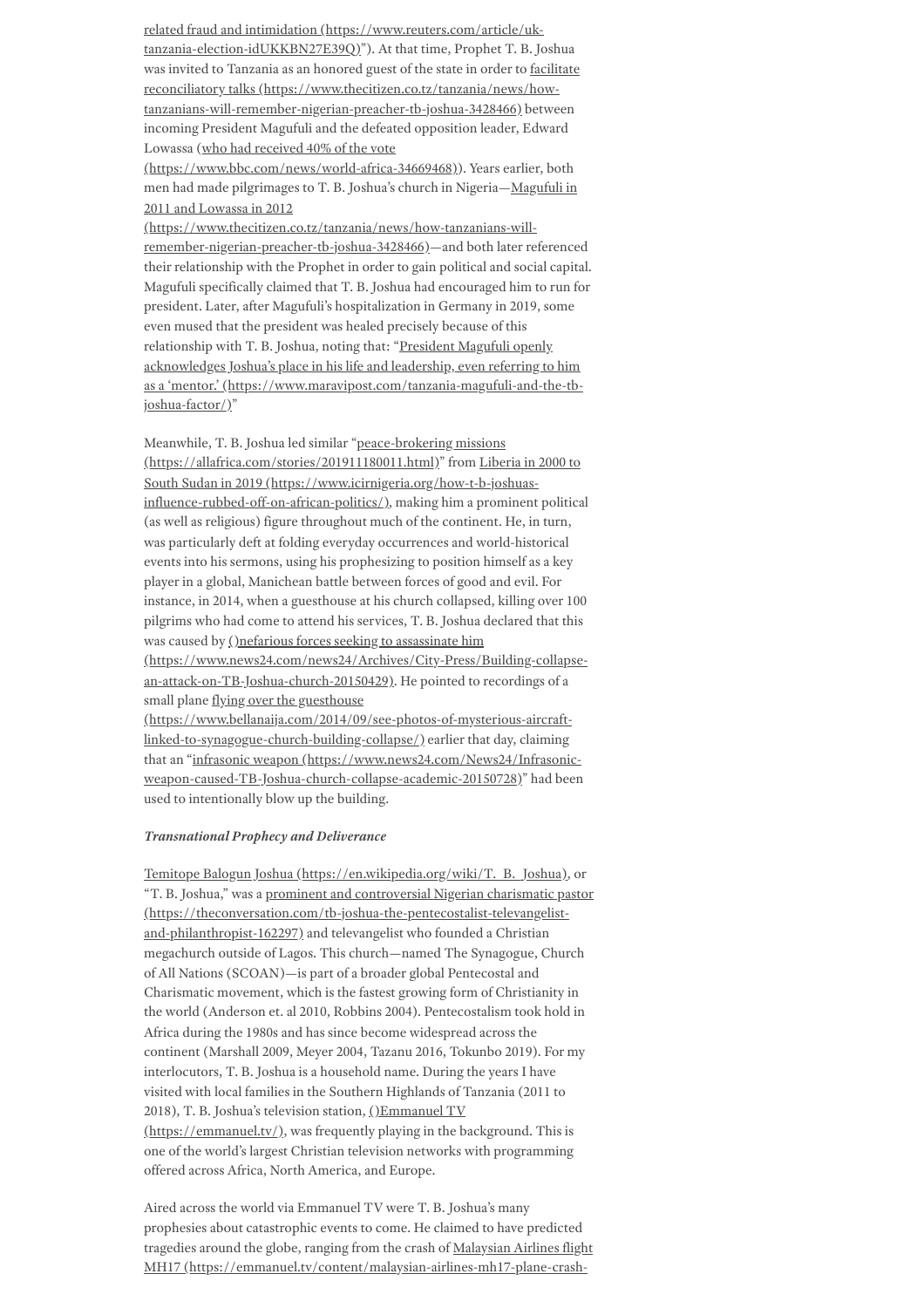related fraud and intimidation (https://www.reuters.com/article/uk[tanzania-election-idUKKBN27E39Q\)"\).](https://www.reuters.com/article/uk-tanzania-election-idUKKBN27E39Q) At that time, Prophet T. B. Joshua was invited to Tanzania as an honored guest of the state in order to facilitate reconciliatory talks (https://www.thecitizen.co.tz/tanzania/news/how[tanzanians-will-remember-nigerian-preacher-tb-joshua-3428466\)](https://www.thecitizen.co.tz/tanzania/news/how-tanzanians-will-remember-nigerian-preacher-tb-joshua-3428466) between incoming President Magufuli and the defeated opposition leader, Edward Lowassa (who had received 40% of the vote

[\(https://www.bbc.com/news/world-africa-34669468\)](https://www.bbc.com/news/world-africa-34669468)). Years earlier, both men had made pilgrimages to T. B. Joshua's church in Nigeria—Magufuli in 2011 and Lowassa in 2012

[\(https://www.thecitizen.co.tz/tanzania/news/how-tanzanians-will](https://www.thecitizen.co.tz/tanzania/news/how-tanzanians-will-remember-nigerian-preacher-tb-joshua-3428466)remember-nigerian-preacher-tb-joshua-3428466)—and both later referenced their relationship with the Prophet in order to gain political and social capital. Magufuli specifically claimed that T. B. Joshua had encouraged him to run for president. Later, after Magufuli's hospitalization in Germany in 2019, some even mused that the president was healed precisely because of this relationship with T. B. Joshua, noting that: "President Magufuli openly acknowledges Joshua's place in his life and leadership, even referring to him as a 'mentor.' [\(https://www.maravipost.com/tanzania-magufuli-and-the-tb](https://www.maravipost.com/tanzania-magufuli-and-the-tb-joshua-factor/)joshua-factor/)"

Meanwhile, T. B. Joshua led similar "peace-brokering missions [\(https://allafrica.com/stories/201911180011.html\)"](https://allafrica.com/stories/201911180011.html) from Liberia in 2000 to South Sudan in 2019 (https://www.icirnigeria.org/how-t-b-joshuasinfluence-rubbed-off-on-african-politics/), making him a prominent political (as well as religious) figure throughout much of the continent. He, in turn, was particularly deft at folding everyday occurrences and world-historical events into his sermons, using his prophesizing to position himself as a key player in a global, Manichean battle between forces of good and evil. For instance, in 2014, when a guesthouse at his church collapsed, killing over 100 pilgrims who had come to attend his services, T. B. Joshua declared that this was caused by ()nefarious forces seeking to assassinate him

[\(https://www.news24.com/news24/Archives/City-Press/Building-collapse](https://www.news24.com/news24/Archives/City-Press/Building-collapse-an-attack-on-TB-Joshua-church-20150429)an-attack-on-TB-Joshua-church-20150429). He pointed to recordings of a small plane flying over the guesthouse

[\(https://www.bellanaija.com/2014/09/see-photos-of-mysterious-aircraft](https://www.bellanaija.com/2014/09/see-photos-of-mysterious-aircraft-linked-to-synagogue-church-building-collapse/)linked-to-synagogue-church-building-collapse/) earlier that day, claiming that an "infrasonic weapon (https://www.news24.com/News24/Infrasonic[weapon-caused-TB-Joshua-church-collapse-academic-20150728\)"](https://www.news24.com/News24/Infrasonic-weapon-caused-TB-Joshua-church-collapse-academic-20150728) had been used to intentionally blow up the building.

### *Transnational Prophecy and Deliverance*

Temitope Balogun Joshua [\(https://en.wikipedia.org/wiki/T.\\_B.\\_Joshua\),](https://en.wikipedia.org/wiki/T._B._Joshua) or "T. B. Joshua," was a prominent and controversial Nigerian charismatic pastor [\(https://theconversation.com/tb-joshua-the-pentecostalist-televangelist](https://theconversation.com/tb-joshua-the-pentecostalist-televangelist-and-philanthropist-162297)and-philanthropist-162297) and televangelist who founded a Christian megachurch outside of Lagos. This church—named The Synagogue, Church of All Nations (SCOAN)—is part of a broader global Pentecostal and Charismatic movement, which is the fastest growing form of Christianity in the world (Anderson et. al 2010, Robbins 2004). Pentecostalism took hold in Africa during the 1980s and has since become widespread across the continent (Marshall 2009, Meyer 2004, Tazanu 2016, Tokunbo 2019). For my interlocutors, T. B. Joshua is a household name. During the years I have visited with local families in the Southern Highlands of Tanzania (2011 to 2018), T. B. Joshua's television station, ()Emmanuel TV [\(https://emmanuel.tv/\),](https://emmanuel.tv/) was frequently playing in the background. This is one of the world's largest Christian television networks with programming offered across Africa, North America, and Europe.

Aired across the world via Emmanuel TV were T. B. Joshua's many prophesies about catastrophic events to come. He claimed to have predicted tragedies around the globe, ranging from the crash of Malaysian Airlines flight MH17 [\(https://emmanuel.tv/content/malaysian-airlines-mh17-plane-crash-](https://emmanuel.tv/content/malaysian-airlines-mh17-plane-crash-prophecy-t-b-joshua/)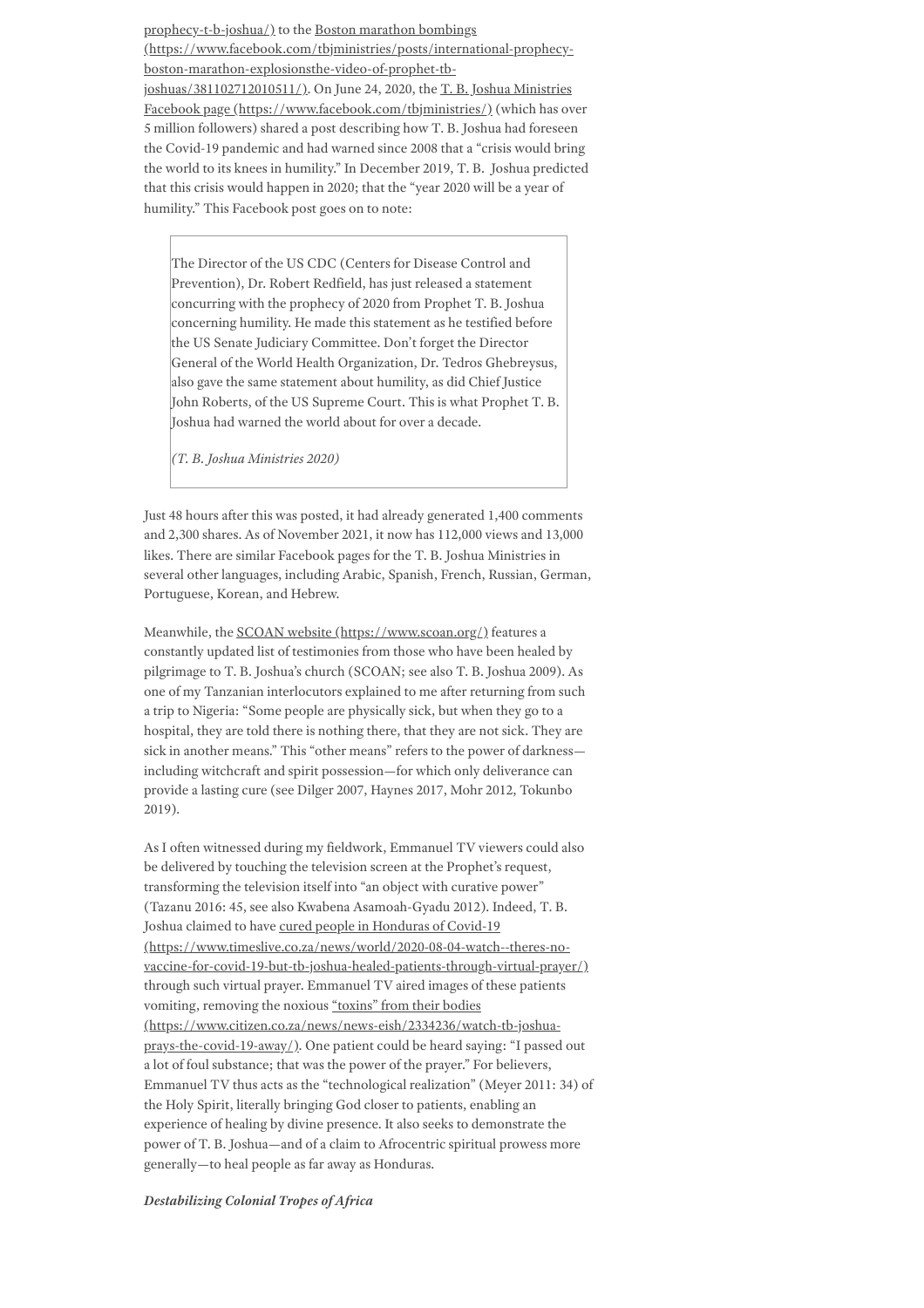[prophecy-t-b-joshua/\)](https://emmanuel.tv/content/malaysian-airlines-mh17-plane-crash-prophecy-t-b-joshua/) to the Boston marathon bombings [\(https://www.facebook.com/tbjministries/posts/international-prophecy](https://www.facebook.com/tbjministries/posts/international-prophecy-boston-marathon-explosionsthe-video-of-prophet-tb-joshuas/381102712010511/)boston-marathon-explosionsthe-video-of-prophet-tb-

joshuas/381102712010511/). On June 24, 2020, the T. B. Joshua Ministries Facebook page [\(https://www.facebook.com/tbjministries/\)](https://www.facebook.com/tbjministries/) (which has over 5 million followers) shared a post describing how T. B. Joshua had foreseen the Covid-19 pandemic and had warned since 2008 that a "crisis would bring the world to its knees in humility." In December 2019, T. B. Joshua predicted that this crisis would happen in 2020; that the "year 2020 will be a year of humility." This Facebook post goes on to note:

The Director of the US CDC (Centers for Disease Control and Prevention), Dr. Robert Redfield, has just released a statement concurring with the prophecy of 2020 from Prophet T. B. Joshua concerning humility. He made this statement as he testified before the US Senate Judiciary Committee. Don't forget the Director General of the World Health Organization, Dr. Tedros Ghebreysus, also gave the same statement about humility, as did Chief Justice John Roberts, of the US Supreme Court. This is what Prophet T. B. Joshua had warned the world about for over a decade.

*(T. B. Joshua Ministries 2020)*

Just 48 hours after this was posted, it had already generated 1,400 comments and 2,300 shares. As of November 2021, it now has 112,000 views and 13,000 likes. There are similar Facebook pages for the T. B. Joshua Ministries in several other languages, including Arabic, Spanish, French, Russian, German, Portuguese, Korean, and Hebrew.

Meanwhile, the SCOAN website [\(https://www.scoan.org/\)](https://www.scoan.org/) features a constantly updated list of testimonies from those who have been healed by pilgrimage to T. B. Joshua's church (SCOAN; see also T. B. Joshua 2009). As one of my Tanzanian interlocutors explained to me after returning from such a trip to Nigeria: "Some people are physically sick, but when they go to a hospital, they are told there is nothing there, that they are not sick. They are sick in another means." This "other means" refers to the power of darkness including witchcraft and spirit possession—for which only deliverance can provide a lasting cure (see Dilger 2007, Haynes 2017, Mohr 2012, Tokunbo 2019).

As I often witnessed during my fieldwork, Emmanuel TV viewers could also be delivered by touching the television screen at the Prophet's request, transforming the television itself into "an object with curative power" (Tazanu 2016: 45, see also Kwabena Asamoah-Gyadu 2012). Indeed, T. B. Joshua claimed to have cured people in Honduras of Covid-19 (https://www.timeslive.co.za/news/world/2020-08-04-watch--theres-no[vaccine-for-covid-19-but-tb-joshua-healed-patients-through-virtual-prayer/\)](https://www.timeslive.co.za/news/world/2020-08-04-watch--theres-no-vaccine-for-covid-19-but-tb-joshua-healed-patients-through-virtual-prayer/) through such virtual prayer. Emmanuel TV aired images of these patients vomiting, removing the noxious "toxins" from their bodies [\(https://www.citizen.co.za/news/news-eish/2334236/watch-tb-joshua](https://www.citizen.co.za/news/news-eish/2334236/watch-tb-joshua-prays-the-covid-19-away/)prays-the-covid-19-away/). One patient could be heard saying: "I passed out a lot of foul substance; that was the power of the prayer." For believers, Emmanuel TV thus acts as the "technological realization" (Meyer 2011: 34) of the Holy Spirit, literally bringing God closer to patients, enabling an experience of healing by divine presence. It also seeks to demonstrate the power of T. B. Joshua—and of a claim to Afrocentric spiritual prowess more generally—to heal people as far away as Honduras.

*Destabilizing Colonial Tropes of Africa*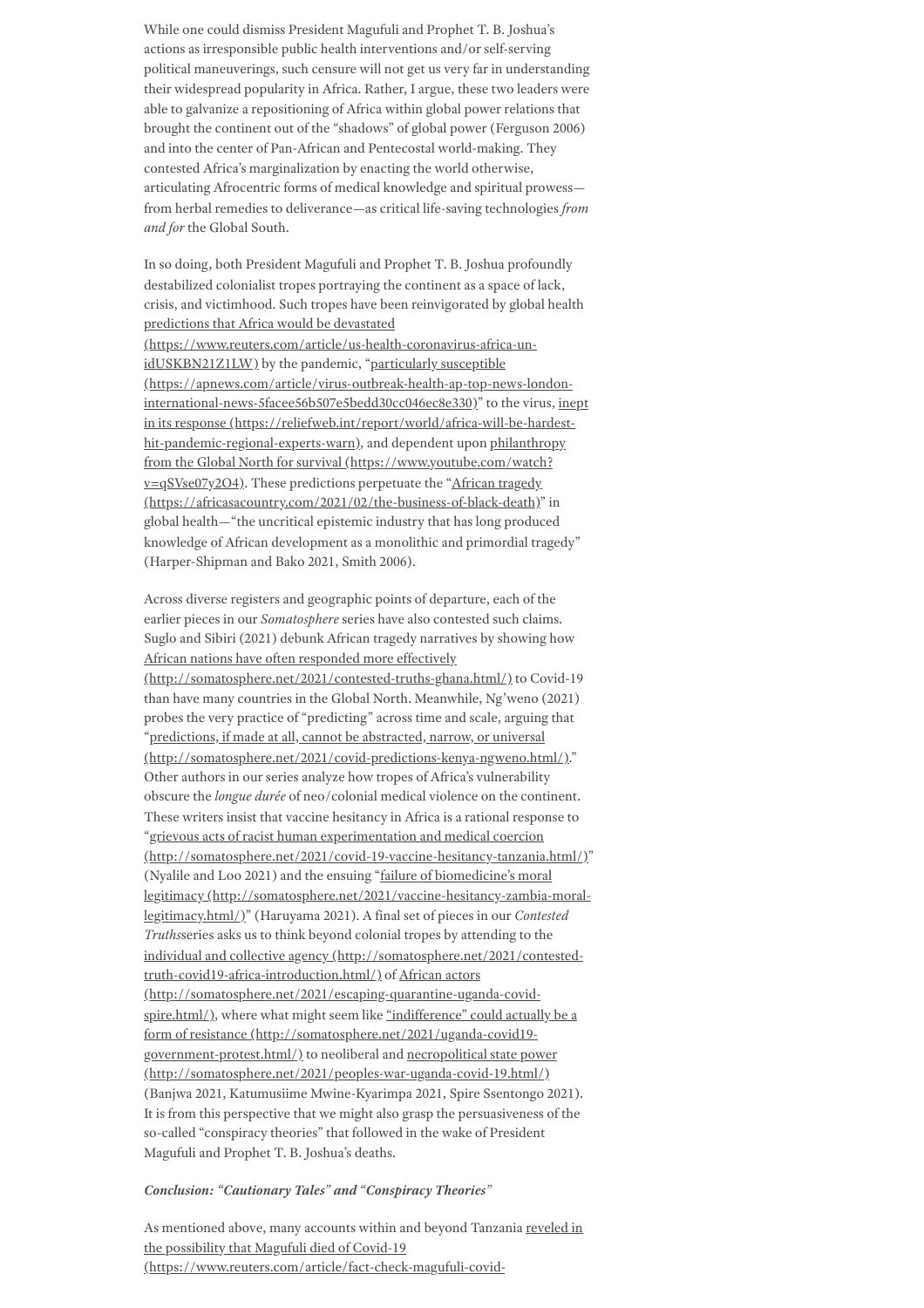While one could dismiss President Magufuli and Prophet T. B. Joshua's actions as irresponsible public health interventions and/or self-serving political maneuverings, such censure will not get us very far in understanding their widespread popularity in Africa. Rather, I argue, these two leaders were able to galvanize a repositioning of Africa within global power relations that brought the continent out of the "shadows" of global power (Ferguson 2006) and into the center of Pan-African and Pentecostal world-making. They contested Africa's marginalization by enacting the world otherwise, articulating Afrocentric forms of medical knowledge and spiritual prowess from herbal remedies to deliverance—as critical life-saving technologies *from and for* the Global South.

In so doing, both President Magufuli and Prophet T. B. Joshua profoundly destabilized colonialist tropes portraying the continent as a space of lack, crisis, and victimhood. Such tropes have been reinvigorated by global health predictions that Africa would be devastated [\(https://www.reuters.com/article/us-health-coronavirus-africa-un](https://www.reuters.com/article/us-health-coronavirus-africa-un-idUSKBN21Z1LW)idUSKBN21Z1LW) by the pandemic, "particularly susceptible [\(https://apnews.com/article/virus-outbreak-health-ap-top-news-london](https://apnews.com/article/virus-outbreak-health-ap-top-news-london-international-news-5facee56b507e5bedd30cc046ec8e330)international-news-5facee56b507e5bedd30cc046ec8e330)" to the virus, inept in its response [\(https://reliefweb.int/report/world/africa-will-be-hardest](https://reliefweb.int/report/world/africa-will-be-hardest-hit-pandemic-regional-experts-warn)[hit-pandemic-regional-experts-warn\),](https://www.youtube.com/watch?v=qSVse07y2O4) and dependent upon philanthropy from the Global North for survival (https://www.youtube.com/watch?  $v = qSVse07y2O4$ ). These predictions perpetuate the "African tragedy [\(https://africasacountry.com/2021/02/the-business-of-black-death\)"](https://africasacountry.com/2021/02/the-business-of-black-death) in global health—"the uncritical epistemic industry that has long produced knowledge of African development as a monolithic and primordial tragedy"

(Harper-Shipman and Bako 2021, Smith 2006).

Across diverse registers and geographic points of departure, each of the earlier pieces in our *Somatosphere* series have also contested such claims. Suglo and Sibiri (2021) debunk African tragedy narratives by showing how African nations have often responded more effectively [\(http://somatosphere.net/2021/contested-truths-ghana.html/\)](http://somatosphere.net/2021/contested-truths-ghana.html/) to Covid-19 than have many countries in the Global North. Meanwhile, Ng'weno (2021) probes the very practice of "predicting" across time and scale, arguing that "predictions, if made at all, cannot be abstracted, narrow, or universal [\(http://somatosphere.net/2021/covid-predictions-kenya-ngweno.html/\).](http://somatosphere.net/2021/covid-predictions-kenya-ngweno.html/)" Other authors in our series analyze how tropes of Africa's vulnerability obscure the *longue durée* of neo/colonial medical violence on the continent. These writers insist that vaccine hesitancy in Africa is a rational response to "grievous acts of racist human experimentation and medical coercion [\(http://somatosphere.net/2021/covid-19-vaccine-hesitancy-tanzania.html/\)](http://somatosphere.net/2021/covid-19-vaccine-hesitancy-tanzania.html/)" (Nyalile and Loo 2021) and the ensuing "failure of biomedicine's moral legitimacy [\(http://somatosphere.net/2021/vaccine-hesitancy-zambia-moral](http://somatosphere.net/2021/vaccine-hesitancy-zambia-moral-legitimacy.html/)legitimacy.html/)" (Haruyama 2021). A final set of pieces in our *Contested Truths*series asks us to think beyond colonial tropes by attending to the individual and collective agency [\(http://somatosphere.net/2021/contested](http://somatosphere.net/2021/contested-truth-covid19-africa-introduction.html/)truth-covid19-africa-introduction.html/) of African actors [\(http://somatosphere.net/2021/escaping-quarantine-uganda-covid](http://somatosphere.net/2021/escaping-quarantine-uganda-covid-spire.html/)spire.html/), where what might seem like "indifference" could actually be a form of resistance [\(http://somatosphere.net/2021/uganda-covid19](http://somatosphere.net/2021/uganda-covid19-government-protest.html/) government-protest.html/) to neoliberal and necropolitical state power [\(http://somatosphere.net/2021/peoples-war-uganda-covid-19.html/\)](http://somatosphere.net/2021/peoples-war-uganda-covid-19.html/) (Banjwa 2021, Katumusiime Mwine-Kyarimpa 2021, Spire Ssentongo 2021). It is from this perspective that we might also grasp the persuasiveness of the so-called "conspiracy theories" that followed in the wake of President Magufuli and Prophet T. B. Joshua's deaths.

# *Conclusion: "Cautionary Tales" and "Conspiracy Theories"*

As mentioned above, many accounts within and beyond Tanzania reveled in the possibility that Magufuli died of Covid-19 [\(https://www.reuters.com/article/fact-check-magufuli-covid-](https://www.reuters.com/article/fact-check-magufuli-covid-idUSL1N2M11DF)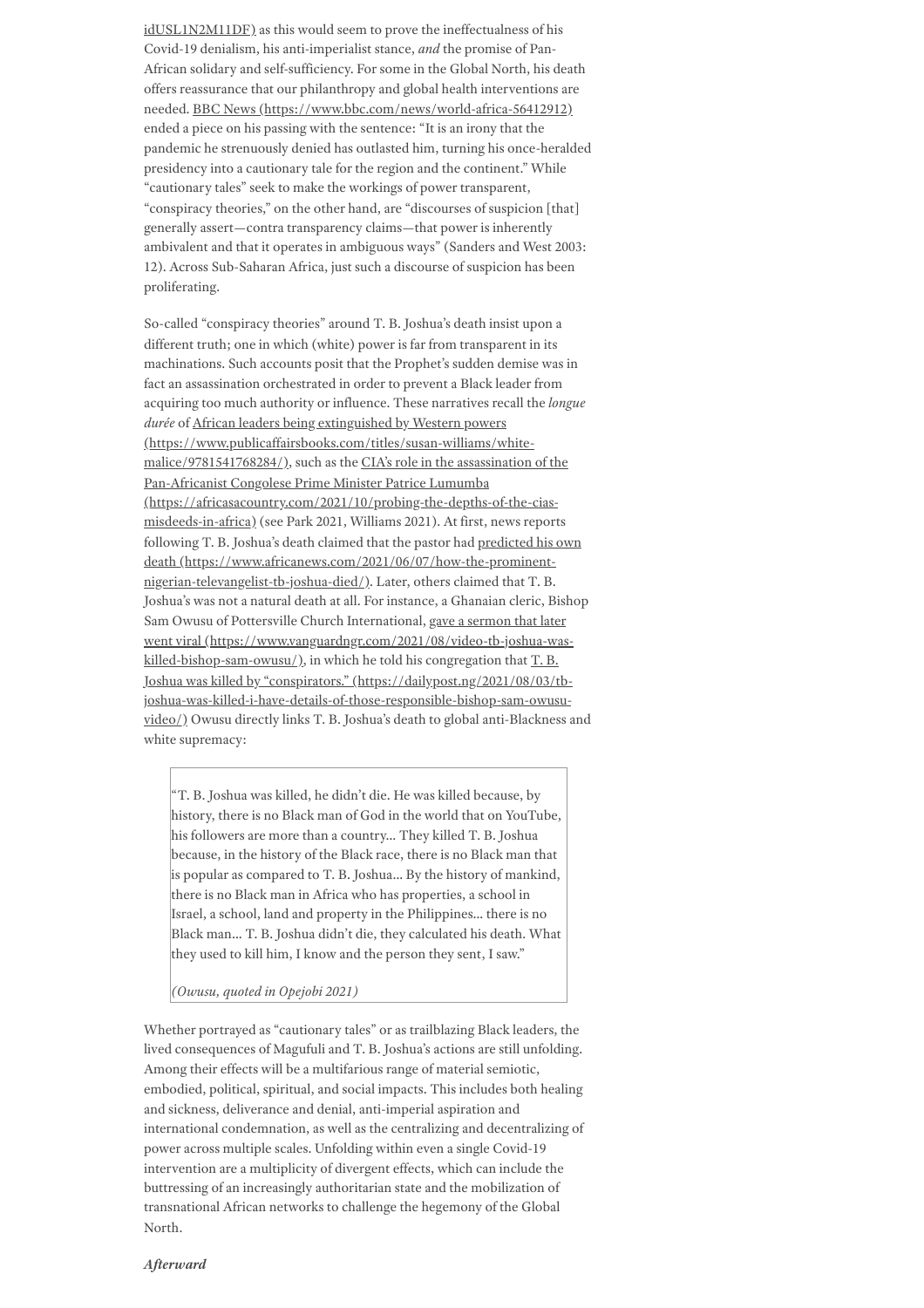[idUSL1N2M11DF\)](https://www.reuters.com/article/fact-check-magufuli-covid-idUSL1N2M11DF) as this would seem to prove the ineffectualness of his Covid-19 denialism, his anti-imperialist stance, *and* the promise of Pan-African solidary and self-sufficiency. For some in the Global North, his death offers reassurance that our philanthropy and global health interventions are needed. BBC News [\(https://www.bbc.com/news/world-africa-56412912\)](https://www.bbc.com/news/world-africa-56412912) ended a piece on his passing with the sentence: "It is an irony that the pandemic he strenuously denied has outlasted him, turning his once-heralded presidency into a cautionary tale for the region and the continent." While "cautionary tales" seek to make the workings of power transparent, "conspiracy theories," on the other hand, are "discourses of suspicion [that] generally assert—contra transparency claims—that power is inherently ambivalent and that it operates in ambiguous ways" (Sanders and West 2003: 12). Across Sub-Saharan Africa, just such a discourse of suspicion has been proliferating.

So-called "conspiracy theories" around T. B. Joshua's death insist upon a different truth; one in which (white) power is far from transparent in its machinations. Such accounts posit that the Prophet's sudden demise was in fact an assassination orchestrated in order to prevent a Black leader from acquiring too much authority or influence. These narratives recall the *longue durée* of African leaders being extinguished by Western powers [\(https://www.publicaffairsbooks.com/titles/susan-williams/white](https://www.publicaffairsbooks.com/titles/susan-williams/white-malice/9781541768284/)malice/9781541768284/), such as the CIA's role in the assassination of the Pan-Africanist Congolese Prime Minister Patrice Lumumba [\(https://africasacountry.com/2021/10/probing-the-depths-of-the-cias](https://africasacountry.com/2021/10/probing-the-depths-of-the-cias-misdeeds-in-africa)misdeeds-in-africa) (see Park 2021, Williams 2021). At first, news reports following T. B. Joshua's death claimed that the pastor had predicted his own death [\(https://www.africanews.com/2021/06/07/how-the-prominent](https://www.africanews.com/2021/06/07/how-the-prominent-nigerian-televangelist-tb-joshua-died/)nigerian-televangelist-tb-joshua-died/). Later, others claimed that T. B. Joshua's was not a natural death at all. For instance, a Ghanaian cleric, Bishop Sam Owusu of Pottersville Church International, gave a sermon that later went viral [\(https://www.vanguardngr.com/2021/08/video-tb-joshua-was](https://www.vanguardngr.com/2021/08/video-tb-joshua-was-killed-bishop-sam-owusu/)killed-bishop-sam-owusu/), in which he told his congregation that T. B. Joshua was killed by "conspirators." (https://dailypost.ng/2021/08/03/tb[joshua-was-killed-i-have-details-of-those-responsible-bishop-sam-owusu](https://dailypost.ng/2021/08/03/tb-joshua-was-killed-i-have-details-of-those-responsible-bishop-sam-owusu-video/)video/) Owusu directly links T. B. Joshua's death to global anti-Blackness and white supremacy:

"T. B. Joshua was killed, he didn't die. He was killed because, by history, there is no Black man of God in the world that on YouTube, his followers are more than a country… They killed T. B. Joshua because, in the history of the Black race, there is no Black man that is popular as compared to T. B. Joshua… By the history of mankind, there is no Black man in Africa who has properties, a school in Israel, a school, land and property in the Philippines… there is no Black man… T. B. Joshua didn't die, they calculated his death. What they used to kill him, I know and the person they sent, I saw."

*(Owusu, quoted in Opejobi 2021)*

Whether portrayed as "cautionary tales" or as trailblazing Black leaders, the lived consequences of Magufuli and T. B. Joshua's actions are still unfolding. Among their effects will be a multifarious range of material semiotic, embodied, political, spiritual, and social impacts. This includes both healing and sickness, deliverance and denial, anti-imperial aspiration and international condemnation, as well as the centralizing and decentralizing of power across multiple scales. Unfolding within even a single Covid-19 intervention are a multiplicity of divergent effects, which can include the buttressing of an increasingly authoritarian state and the mobilization of transnational African networks to challenge the hegemony of the Global North.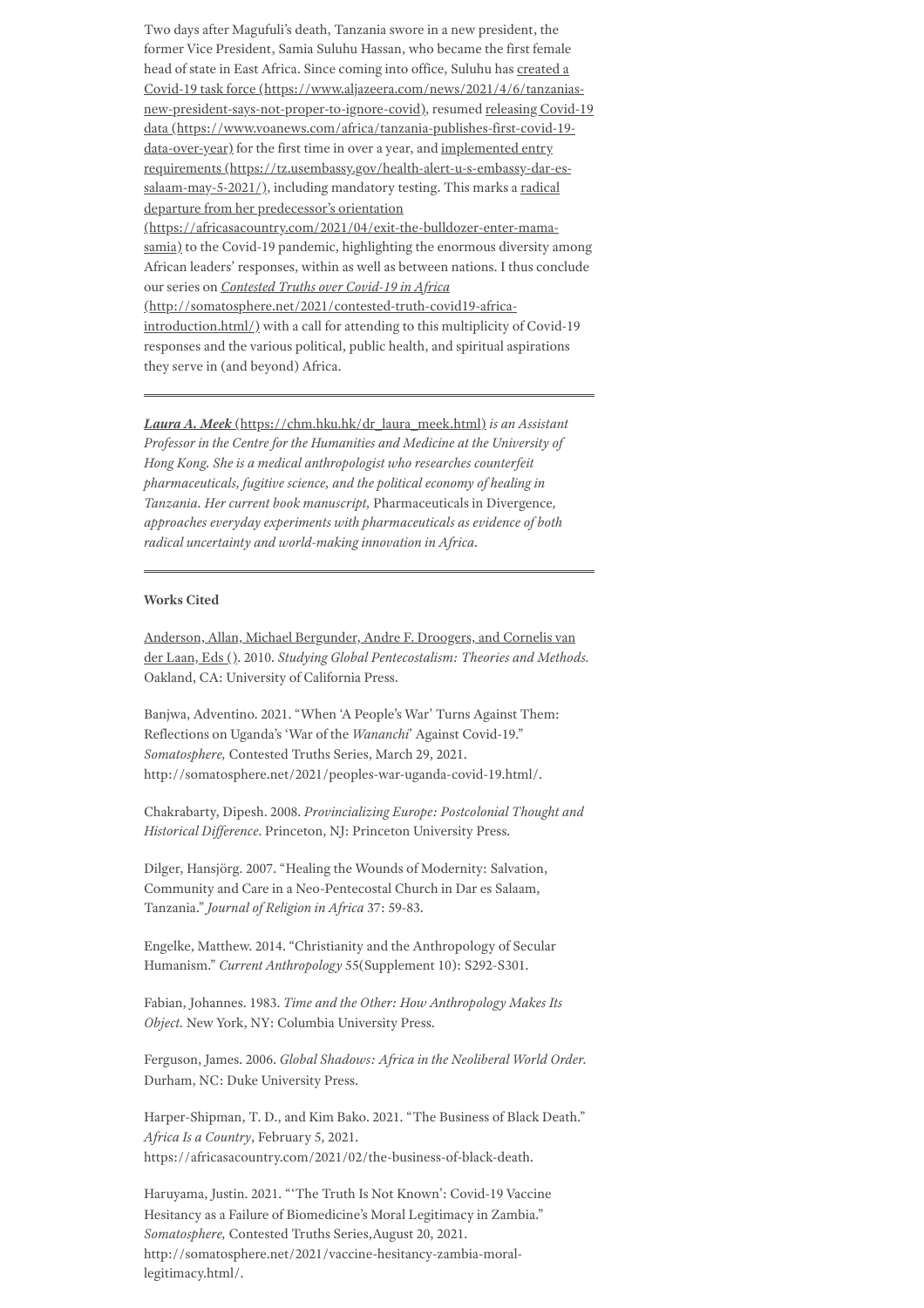Two days after Magufuli's death, Tanzania swore in a new president, the former Vice President, Samia Suluhu Hassan, who became the first female head of state in East Africa. Since coming into office, Suluhu has created a Covid-19 task force [\(https://www.aljazeera.com/news/2021/4/6/tanzanias](https://www.aljazeera.com/news/2021/4/6/tanzanias-new-president-says-not-proper-to-ignore-covid)new-president-says-not-proper-to-ignore-covid), resumed releasing Covid-19 data [\(https://www.voanews.com/africa/tanzania-publishes-first-covid-19](https://www.voanews.com/africa/tanzania-publishes-first-covid-19-data-over-year) data-over-year) for the first time in over a year, and implemented entry requirements [\(https://tz.usembassy.gov/health-alert-u-s-embassy-dar-es](https://tz.usembassy.gov/health-alert-u-s-embassy-dar-es-salaam-may-5-2021/)salaam-may-5-2021/), including mandatory testing. This marks a radical departure from her predecessor's orientation

[\(https://africasacountry.com/2021/04/exit-the-bulldozer-enter-mama](https://africasacountry.com/2021/04/exit-the-bulldozer-enter-mama-samia)samia) to the Covid-19 pandemic, highlighting the enormous diversity among African leaders' responses, within as well as between nations. I thus conclude our series on *Contested Truths over Covid-19 in Africa*

[\(http://somatosphere.net/2021/contested-truth-covid19-africa](http://somatosphere.net/2021/contested-truth-covid19-africa-introduction.html/)introduction.html/) with a call for attending to this multiplicity of Covid-19 responses and the various political, public health, and spiritual aspirations they serve in (and beyond) Africa.

*Laura A. Meek* [\(https://chm.hku.hk/dr\\_laura\\_meek.html\)](https://chm.hku.hk/dr_laura_meek.html) *is an Assistant Professor in the Centre for the Humanities and Medicine at the University of Hong Kong. She is a medical anthropologist who researches counterfeit pharmaceuticals, fugitive science, and the political economy of healing in Tanzania. Her current book manuscript,* Pharmaceuticals in Divergence*, approaches everyday experiments with pharmaceuticals as evidence of both radical uncertainty and world-making innovation in Africa.*

## **Works Cited**

Anderson, Allan, Michael Bergunder, Andre F. Droogers, and Cornelis van der Laan, Eds (). 2010. *Studying Global Pentecostalism: Theories and Methods.* Oakland, CA: University of California Press.

Banjwa, Adventino. 2021. "When 'A People's War' Turns Against Them: Reflections on Uganda's 'War of the *Wananchi*' Against Covid-19." *Somatosphere,* Contested Truths Series, March 29, 2021. http://somatosphere.net/2021/peoples-war-uganda-covid-19.html/.

Chakrabarty, Dipesh. 2008. *Provincializing Europe: Postcolonial Thought and Historical Dif erence*. Princeton, NJ: Princeton University Press.

Dilger, Hansjörg. 2007. "Healing the Wounds of Modernity: Salvation, Community and Care in a Neo-Pentecostal Church in Dar es Salaam, Tanzania." *Journal of Religion in Africa* 37: 59-83.

Engelke, Matthew. 2014. "Christianity and the Anthropology of Secular Humanism." *Current Anthropology* 55(Supplement 10): S292-S301.

Fabian, Johannes. 1983. *Time and the Other: How Anthropology Makes Its Object.* New York, NY: Columbia University Press.

Ferguson, James. 2006. *Global Shadows: Africa in the Neoliberal World Order.* Durham, NC: Duke University Press.

Harper-Shipman, T. D., and Kim Bako. 2021. "The Business of Black Death." *Africa Is a Country*, February 5, 2021. https://africasacountry.com/2021/02/the-business-of-black-death.

Haruyama, Justin. 2021. "'The Truth Is Not Known': Covid-19 Vaccine Hesitancy as a Failure of Biomedicine's Moral Legitimacy in Zambia." *Somatosphere,* Contested Truths Series,August 20, 2021. http://somatosphere.net/2021/vaccine-hesitancy-zambia-morallegitimacy.html/.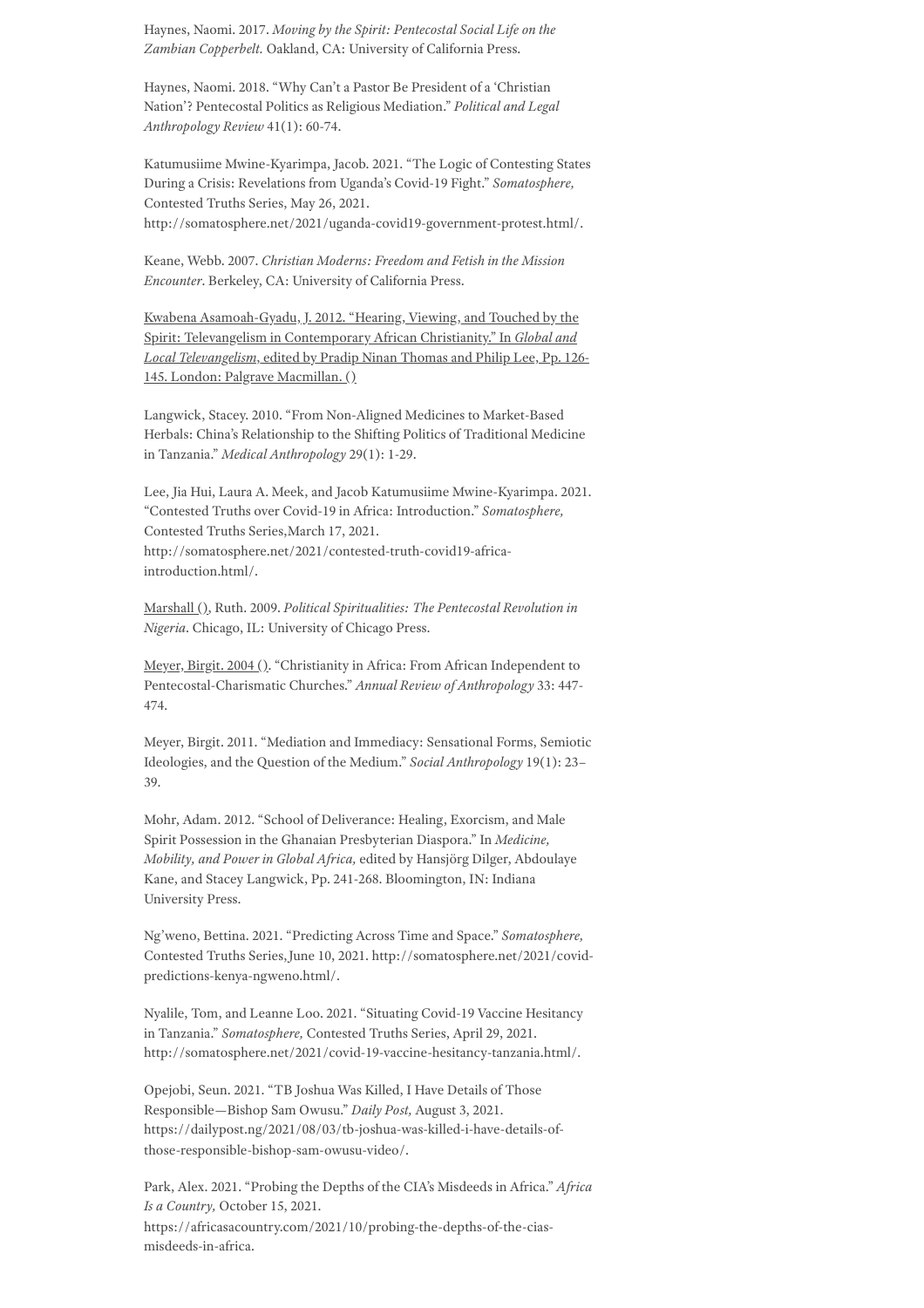Haynes, Naomi. 2017. *Moving by the Spirit: Pentecostal Social Life on the Zambian Copperbelt.* Oakland, CA: University of California Press.

Haynes, Naomi. 2018. "Why Can't a Pastor Be President of a 'Christian Nation'? Pentecostal Politics as Religious Mediation." *Political and Legal Anthropology Review* 41(1): 60-74.

Katumusiime Mwine-Kyarimpa, Jacob. 2021. "The Logic of Contesting States During a Crisis: Revelations from Uganda's Covid-19 Fight." *Somatosphere,* Contested Truths Series, May 26, 2021. http://somatosphere.net/2021/uganda-covid19-government-protest.html/.

Keane, Webb. 2007. *Christian Moderns: Freedom and Fetish in the Mission Encounter*. Berkeley, CA: University of California Press.

Kwabena Asamoah-Gyadu, J. 2012. "Hearing, Viewing, and Touched by the Spirit: Televangelism in Contemporary African Christianity." In *Global and Local Televangelism*, edited by Pradip Ninan Thomas and Philip Lee, Pp. 126- 145. London: Palgrave Macmillan. ()

Langwick, Stacey. 2010. "From Non-Aligned Medicines to Market-Based Herbals: China's Relationship to the Shifting Politics of Traditional Medicine in Tanzania." *Medical Anthropology* 29(1): 1-29.

Lee, Jia Hui, Laura A. Meek, and Jacob Katumusiime Mwine-Kyarimpa. 2021. "Contested Truths over Covid-19 in Africa: Introduction." *Somatosphere,* Contested Truths Series,March 17, 2021. http://somatosphere.net/2021/contested-truth-covid19-africaintroduction.html/.

Marshall (), Ruth. 2009. *Political Spiritualities: The Pentecostal Revolution in Nigeria*. Chicago, IL: University of Chicago Press.

Meyer, Birgit. 2004 (). "Christianity in Africa: From African Independent to Pentecostal-Charismatic Churches." *Annual Review of Anthropology* 33: 447- 474.

Meyer, Birgit. 2011. "Mediation and Immediacy: Sensational Forms, Semiotic Ideologies, and the Question of the Medium." *Social Anthropology* 19(1): 23– 39.

Mohr, Adam. 2012. "School of Deliverance: Healing, Exorcism, and Male Spirit Possession in the Ghanaian Presbyterian Diaspora." In *Medicine, Mobility, and Power in Global Africa,* edited by Hansjörg Dilger, Abdoulaye Kane, and Stacey Langwick, Pp. 241-268. Bloomington, IN: Indiana University Press.

Ng'weno, Bettina. 2021. "Predicting Across Time and Space." *Somatosphere,* Contested Truths Series,June 10, 2021. http://somatosphere.net/2021/covidpredictions-kenya-ngweno.html/.

Nyalile, Tom, and Leanne Loo. 2021. "Situating Covid-19 Vaccine Hesitancy in Tanzania." *Somatosphere,* Contested Truths Series, April 29, 2021. http://somatosphere.net/2021/covid-19-vaccine-hesitancy-tanzania.html/.

Opejobi, Seun. 2021. "TB Joshua Was Killed, I Have Details of Those Responsible—Bishop Sam Owusu." *Daily Post,* August 3, 2021. https://dailypost.ng/2021/08/03/tb-joshua-was-killed-i-have-details-ofthose-responsible-bishop-sam-owusu-video/.

Park, Alex. 2021. "Probing the Depths of the CIA's Misdeeds in Africa." *Africa Is a Country,* October 15, 2021. https://africasacountry.com/2021/10/probing-the-depths-of-the-ciasmisdeeds-in-africa.